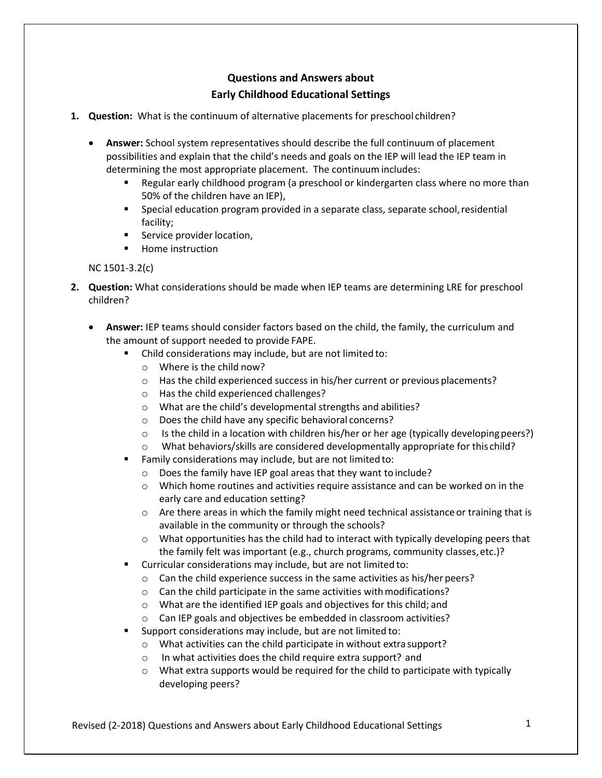## **Questions and Answers about Early Childhood Educational Settings**

- **1. Question:** What is the continuum of alternative placements for preschool children?
	- **Answer:** School system representatives should describe the full continuum of placement possibilities and explain that the child's needs and goals on the IEP will lead the IEP team in determining the most appropriate placement. The continuum includes:
		- **EXECT** Regular early childhood program (a preschool or kindergarten class where no more than 50% of the children have an IEP),
		- **•** Special education program provided in a separate class, separate school, residential facility;
		- Service provider location,
		- Home instruction

## NC 1501-3.2(c)

- **2. Question:** What considerations should be made when IEP teams are determining LRE for preschool children?
	- **Answer:** IEP teams should consider factors based on the child, the family, the curriculum and the amount of support needed to provide FAPE.
		- Child considerations may include, but are not limited to:
			- o Where is the child now?
			- $\circ$  Has the child experienced success in his/her current or previous placements?
			- o Has the child experienced challenges?
			- o What are the child's developmental strengths and abilities?
			- o Does the child have any specific behavioral concerns?
			- $\circ$  Is the child in a location with children his/her or her age (typically developing peers?)
			- o What behaviors/skills are considered developmentally appropriate for this child?
		- Family considerations may include, but are not limited to:
			- o Does the family have IEP goal areas that they want to include?
			- $\circ$  Which home routines and activities require assistance and can be worked on in the early care and education setting?
			- $\circ$  Are there areas in which the family might need technical assistance or training that is available in the community or through the schools?
			- $\circ$  What opportunities has the child had to interact with typically developing peers that the family felt was important (e.g., church programs, community classes,etc.)?
		- Curricular considerations may include, but are not limited to:
			- o Can the child experience success in the same activities as his/her peers?
			- $\circ$  Can the child participate in the same activities with modifications?
			- o What are the identified IEP goals and objectives for this child; and
			- o Can IEP goals and objectives be embedded in classroom activities?
		- Support considerations may include, but are not limited to:
			- o What activities can the child participate in without extra support?
			- o In what activities does the child require extra support? and
			- $\circ$  What extra supports would be required for the child to participate with typically developing peers?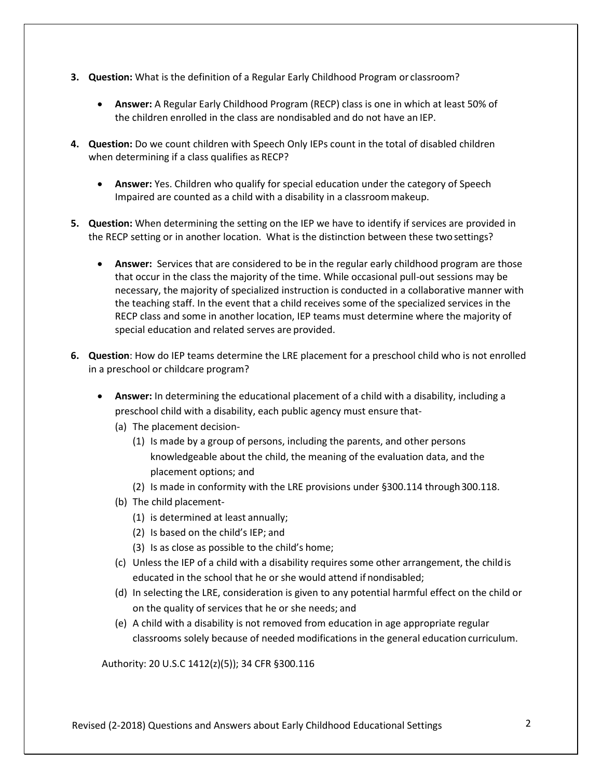- **3. Question:** What is the definition of a Regular Early Childhood Program or classroom?
	- **Answer:** A Regular Early Childhood Program (RECP) class is one in which at least 50% of the children enrolled in the class are nondisabled and do not have an IEP.
- **4. Question:** Do we count children with Speech Only IEPs count in the total of disabled children when determining if a class qualifies as RECP?
	- **Answer:** Yes. Children who qualify for special education under the category of Speech Impaired are counted as a child with a disability in a classroommakeup.
- **5. Question:** When determining the setting on the IEP we have to identify if services are provided in the RECP setting or in another location. What is the distinction between these twosettings?
	- **Answer:** Services that are considered to be in the regular early childhood program are those that occur in the class the majority of the time. While occasional pull-out sessions may be necessary, the majority of specialized instruction is conducted in a collaborative manner with the teaching staff. In the event that a child receives some of the specialized services in the RECP class and some in another location, IEP teams must determine where the majority of special education and related serves are provided.
- **6. Question**: How do IEP teams determine the LRE placement for a preschool child who is not enrolled in a preschool or childcare program?
	- **Answer:** In determining the educational placement of a child with a disability, including a preschool child with a disability, each public agency must ensure that-
		- (a) The placement decision-
			- (1) Is made by a group of persons, including the parents, and other persons knowledgeable about the child, the meaning of the evaluation data, and the placement options; and
			- (2) Is made in conformity with the LRE provisions under §300.114 through 300.118.
		- (b) The child placement-
			- (1) is determined at least annually;
			- (2) Is based on the child's IEP; and
			- (3) Is as close as possible to the child's home;
		- (c) Unless the IEP of a child with a disability requires some other arrangement, the childis educated in the school that he or she would attend if nondisabled;
		- (d) In selecting the LRE, consideration is given to any potential harmful effect on the child or on the quality of services that he or she needs; and
		- (e) A child with a disability is not removed from education in age appropriate regular classrooms solely because of needed modifications in the general education curriculum.

Authority: 20 U.S.C 1412(z)(5)); 34 CFR §300.116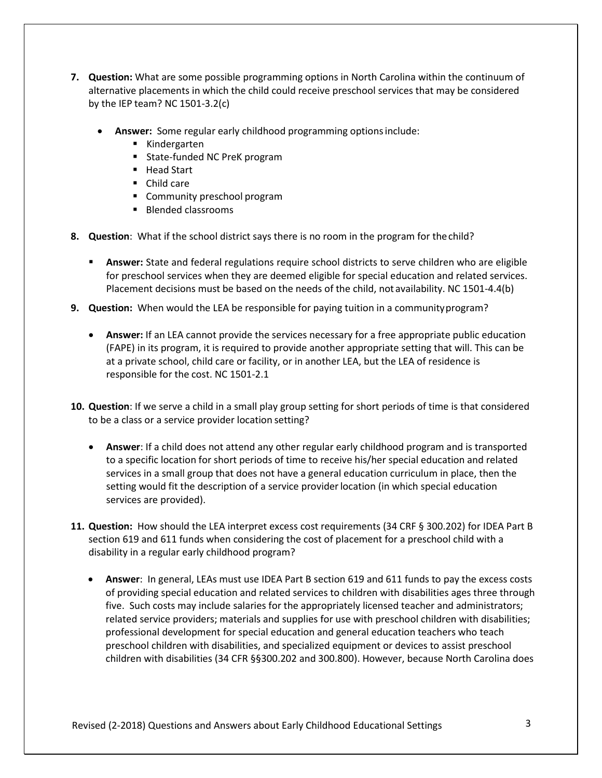- **7. Question:** What are some possible programming options in North Carolina within the continuum of alternative placements in which the child could receive preschool services that may be considered by the IEP team? NC 1501-3.2(c)
	- **Answer:** Some regular early childhood programming optionsinclude:
		- Kindergarten
		- State-funded NC PreK program
		- Head Start
		- Child care
		- Community preschool program
		- Blended classrooms
- **8. Question**: What if the school district says there is no room in the program for thechild?
	- **EXEDERA Answer:** State and federal regulations require school districts to serve children who are eligible for preschool services when they are deemed eligible for special education and related services. Placement decisions must be based on the needs of the child, not availability. NC 1501-4.4(b)
- **9. Question:** When would the LEA be responsible for paying tuition in a communityprogram?
	- **Answer:** If an LEA cannot provide the services necessary for a free appropriate public education (FAPE) in its program, it is required to provide another appropriate setting that will. This can be at a private school, child care or facility, or in another LEA, but the LEA of residence is responsible for the cost. NC 1501-2.1
- **10. Question**: If we serve a child in a small play group setting for short periods of time is that considered to be a class or a service provider location setting?
	- **Answer**: If a child does not attend any other regular early childhood program and is transported to a specific location for short periods of time to receive his/her special education and related services in a small group that does not have a general education curriculum in place, then the setting would fit the description of a service provider location (in which special education services are provided).
- **11. Question:** How should the LEA interpret excess cost requirements (34 CRF § 300.202) for IDEA Part B section 619 and 611 funds when considering the cost of placement for a preschool child with a disability in a regular early childhood program?
	- **Answer**: In general, LEAs must use IDEA Part B section 619 and 611 funds to pay the excess costs of providing special education and related services to children with disabilities ages three through five. Such costs may include salaries for the appropriately licensed teacher and administrators; related service providers; materials and supplies for use with preschool children with disabilities; professional development for special education and general education teachers who teach preschool children with disabilities, and specialized equipment or devices to assist preschool children with disabilities (34 CFR §§300.202 and 300.800). However, because North Carolina does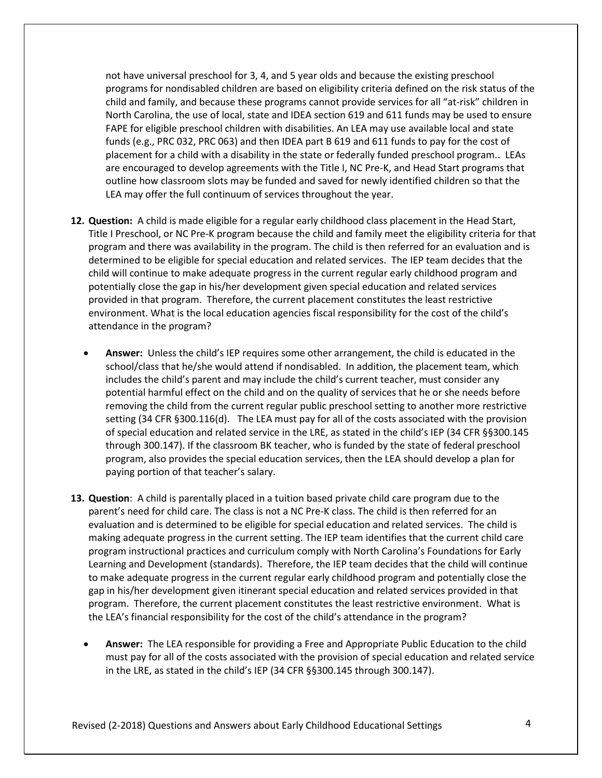not have universal preschool for 3, 4, and 5 year olds and because the existing preschool programs for nondisabled children are based on eligibility criteria defined on the risk status of the child and family, and because these programs cannot provide services for all "at-risk" children in North Carolina, the use of local, state and IDEA section 619 and 611 funds may be used to ensure FAPE for eligible preschool children with disabilities. An LEA may use available local and state funds (e.g., PRC 032, PRC 063) and then IDEA part B 619 and 611 funds to pay for the cost of placement for a child with a disability in the state or federally funded preschool program.. LEAs are encouraged to develop agreements with the Title I, NC Pre-K, and Head Start programs that outline how classroom slots may be funded and saved for newly identified children so that the LEA may offer the full continuum of services throughout the year.

- **12. Question:** A child is made eligible for a regular early childhood class placement in the Head Start, Title I Preschool, or NC Pre-K program because the child and family meet the eligibility criteria for that program and there was availability in the program. The child is then referred for an evaluation and is determined to be eligible for special education and related services. The IEP team decides that the child will continue to make adequate progress in the current regular early childhood program and potentially close the gap in his/her development given special education and related services provided in that program. Therefore, the current placement constitutes the least restrictive environment. What is the local education agencies fiscal responsibility for the cost of the child's attendance in the program?
	- **Answer:** Unless the child's IEP requires some other arrangement, the child is educated in the school/class that he/she would attend if nondisabled. In addition, the placement team, which includes the child's parent and may include the child's current teacher, must consider any potential harmful effect on the child and on the quality of services that he or she needs before removing the child from the current regular public preschool setting to another more restrictive setting (34 CFR §300.116(d). The LEA must pay for all of the costs associated with the provision of special education and related service in the LRE, as stated in the child's IEP (34 CFR §§300.145 through 300.147). If the classroom BK teacher, who is funded by the state of federal preschool program, also provides the special education services, then the LEA should develop a plan for paying portion of that teacher's salary.
- **13. Question**: A child is parentally placed in a tuition based private child care program due to the parent's need for child care. The class is not a NC Pre-K class. The child is then referred for an evaluation and is determined to be eligible for special education and related services. The child is making adequate progress in the current setting. The IEP team identifies that the current child care program instructional practices and curriculum comply with North Carolina's Foundations for Early Learning and Development (standards). Therefore, the IEP team decides that the child will continue to make adequate progress in the current regular early childhood program and potentially close the gap in his/her development given itinerant special education and related services provided in that program. Therefore, the current placement constitutes the least restrictive environment. What is the LEA's financial responsibility for the cost of the child's attendance in the program?
	- **Answer:** The LEA responsible for providing a Free and Appropriate Public Education to the child must pay for all of the costs associated with the provision of special education and related service in the LRE, as stated in the child's IEP (34 CFR §§300.145 through 300.147).